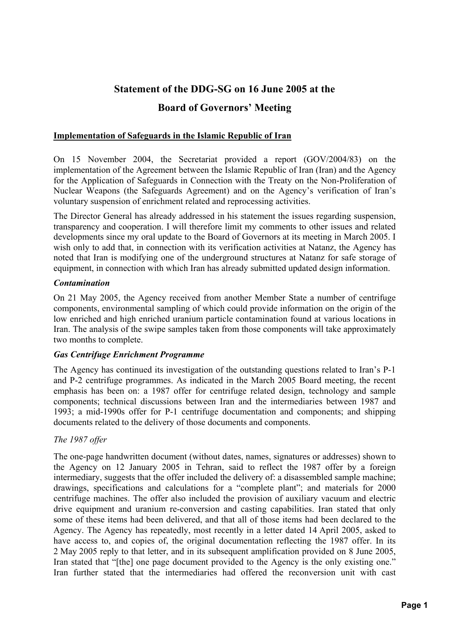# **Statement of the DDG-SG on 16 June 2005 at the Board of Governors' Meeting**

## **Implementation of Safeguards in the Islamic Republic of Iran**

On 15 November 2004, the Secretariat provided a report (GOV/2004/83) on the implementation of the Agreement between the Islamic Republic of Iran (Iran) and the Agency for the Application of Safeguards in Connection with the Treaty on the Non-Proliferation of Nuclear Weapons (the Safeguards Agreement) and on the Agency's verification of Iran's voluntary suspension of enrichment related and reprocessing activities.

The Director General has already addressed in his statement the issues regarding suspension, transparency and cooperation. I will therefore limit my comments to other issues and related developments since my oral update to the Board of Governors at its meeting in March 2005. I wish only to add that, in connection with its verification activities at Natanz, the Agency has noted that Iran is modifying one of the underground structures at Natanz for safe storage of equipment, in connection with which Iran has already submitted updated design information.

## *Contamination*

On 21 May 2005, the Agency received from another Member State a number of centrifuge components, environmental sampling of which could provide information on the origin of the low enriched and high enriched uranium particle contamination found at various locations in Iran. The analysis of the swipe samples taken from those components will take approximately two months to complete.

## *Gas Centrifuge Enrichment Programme*

The Agency has continued its investigation of the outstanding questions related to Iran's P-1 and P-2 centrifuge programmes. As indicated in the March 2005 Board meeting, the recent emphasis has been on: a 1987 offer for centrifuge related design, technology and sample components; technical discussions between Iran and the intermediaries between 1987 and 1993; a mid-1990s offer for P-1 centrifuge documentation and components; and shipping documents related to the delivery of those documents and components.

## *The 1987 offer*

The one-page handwritten document (without dates, names, signatures or addresses) shown to the Agency on 12 January 2005 in Tehran, said to reflect the 1987 offer by a foreign intermediary, suggests that the offer included the delivery of: a disassembled sample machine; drawings, specifications and calculations for a "complete plant"; and materials for 2000 centrifuge machines. The offer also included the provision of auxiliary vacuum and electric drive equipment and uranium re-conversion and casting capabilities. Iran stated that only some of these items had been delivered, and that all of those items had been declared to the Agency. The Agency has repeatedly, most recently in a letter dated 14 April 2005, asked to have access to, and copies of, the original documentation reflecting the 1987 offer. In its 2 May 2005 reply to that letter, and in its subsequent amplification provided on 8 June 2005, Iran stated that "[the] one page document provided to the Agency is the only existing one." Iran further stated that the intermediaries had offered the reconversion unit with cast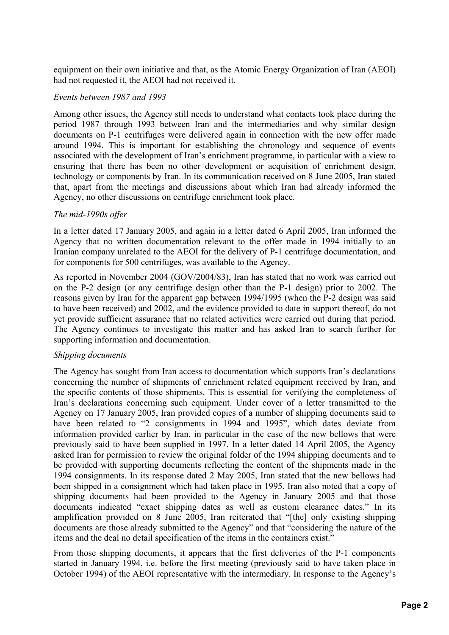equipment on their own initiative and that, as the Atomic Energy Organization of Iran (AEOI) had not requested it, the AEOI had not received it.

#### *Events between 1987 and 1993*

Among other issues, the Agency still needs to understand what contacts took place during the period 1987 through 1993 between Iran and the intermediaries and why similar design documents on P-1 centrifuges were delivered again in connection with the new offer made around 1994. This is important for establishing the chronology and sequence of events associated with the development of Iran's enrichment programme, in particular with a view to ensuring that there has been no other development or acquisition of enrichment design, technology or components by Iran. In its communication received on 8 June 2005, Iran stated that, apart from the meetings and discussions about which Iran had already informed the Agency, no other discussions on centrifuge enrichment took place.

#### *The mid-1990s offer*

In a letter dated 17 January 2005, and again in a letter dated 6 April 2005, Iran informed the Agency that no written documentation relevant to the offer made in 1994 initially to an Iranian company unrelated to the AEOI for the delivery of P-1 centrifuge documentation, and for components for 500 centrifuges, was available to the Agency.

As reported in November 2004 (GOV/2004/83), Iran has stated that no work was carried out on the P-2 design (or any centrifuge design other than the P-1 design) prior to 2002. The reasons given by Iran for the apparent gap between 1994/1995 (when the P-2 design was said to have been received) and 2002, and the evidence provided to date in support thereof, do not yet provide sufficient assurance that no related activities were carried out during that period. The Agency continues to investigate this matter and has asked Iran to search further for supporting information and documentation.

#### *Shipping documents*

The Agency has sought from Iran access to documentation which supports Iran's declarations concerning the number of shipments of enrichment related equipment received by Iran, and the specific contents of those shipments. This is essential for verifying the completeness of Iran's declarations concerning such equipment. Under cover of a letter transmitted to the Agency on 17 January 2005, Iran provided copies of a number of shipping documents said to have been related to "2 consignments in 1994 and 1995", which dates deviate from information provided earlier by Iran, in particular in the case of the new bellows that were previously said to have been supplied in 1997. In a letter dated 14 April 2005, the Agency asked Iran for permission to review the original folder of the 1994 shipping documents and to be provided with supporting documents reflecting the content of the shipments made in the 1994 consignments. In its response dated 2 May 2005, Iran stated that the new bellows had been shipped in a consignment which had taken place in 1995. Iran also noted that a copy of shipping documents had been provided to the Agency in January 2005 and that those documents indicated "exact shipping dates as well as custom clearance dates." In its amplification provided on 8 June 2005, Iran reiterated that "[the] only existing shipping documents are those already submitted to the Agency" and that "considering the nature of the items and the deal no detail specification of the items in the containers exist."

From those shipping documents, it appears that the first deliveries of the P-1 components started in January 1994, i.e. before the first meeting (previously said to have taken place in October 1994) of the AEOI representative with the intermediary. In response to the Agency's